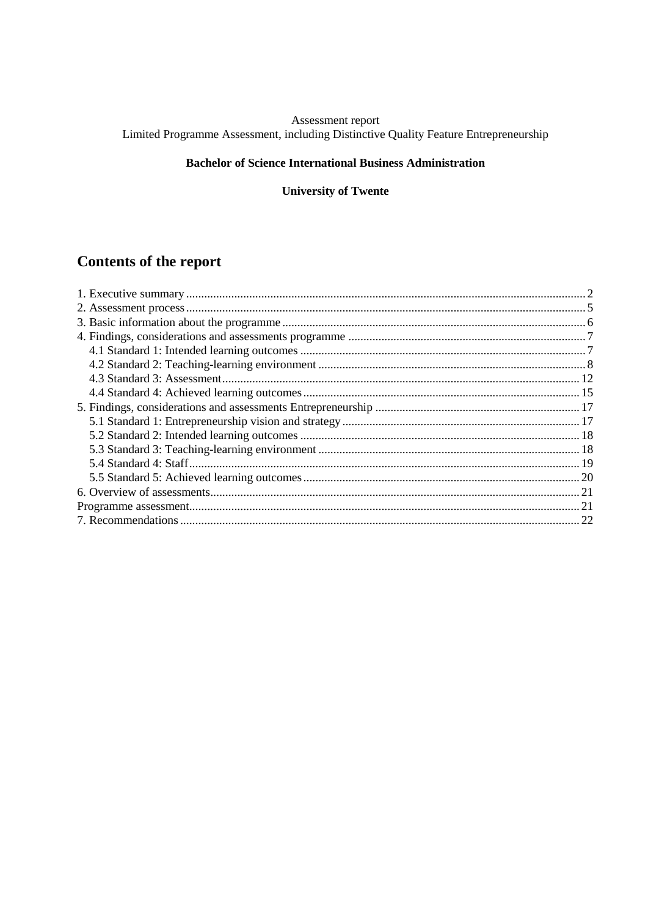# Assessment report<br>Limited Programme Assessment, including Distinctive Quality Feature Entrepreneurship

## **Bachelor of Science International Business Administration**

## **University of Twente**

# Contents of the report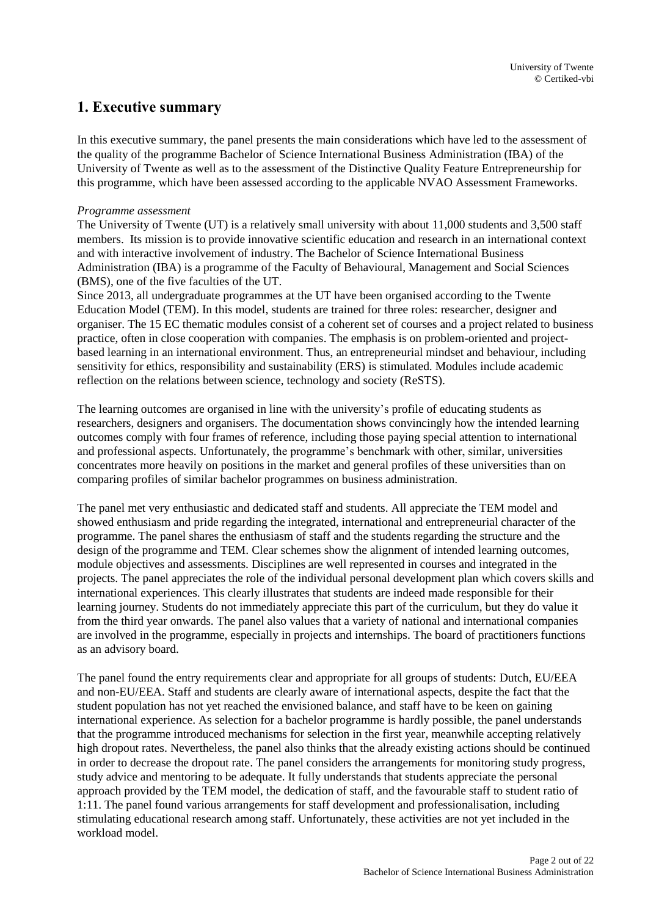## <span id="page-1-0"></span>**1. Executive summary**

In this executive summary, the panel presents the main considerations which have led to the assessment of the quality of the programme Bachelor of Science International Business Administration (IBA) of the University of Twente as well as to the assessment of the Distinctive Quality Feature Entrepreneurship for this programme, which have been assessed according to the applicable NVAO Assessment Frameworks.

#### *Programme assessment*

The University of Twente (UT) is a relatively small university with about 11,000 students and 3,500 staff members. Its mission is to provide innovative scientific education and research in an international context and with interactive involvement of industry. The Bachelor of Science International Business Administration (IBA) is a programme of the Faculty of Behavioural, Management and Social Sciences (BMS), one of the five faculties of the UT.

Since 2013, all undergraduate programmes at the UT have been organised according to the Twente Education Model (TEM). In this model, students are trained for three roles: researcher, designer and organiser. The 15 EC thematic modules consist of a coherent set of courses and a project related to business practice, often in close cooperation with companies. The emphasis is on problem-oriented and projectbased learning in an international environment. Thus, an entrepreneurial mindset and behaviour, including sensitivity for ethics, responsibility and sustainability (ERS) is stimulated. Modules include academic reflection on the relations between science, technology and society (ReSTS).

The learning outcomes are organised in line with the university's profile of educating students as researchers, designers and organisers. The documentation shows convincingly how the intended learning outcomes comply with four frames of reference, including those paying special attention to international and professional aspects. Unfortunately, the programme's benchmark with other, similar, universities concentrates more heavily on positions in the market and general profiles of these universities than on comparing profiles of similar bachelor programmes on business administration.

The panel met very enthusiastic and dedicated staff and students. All appreciate the TEM model and showed enthusiasm and pride regarding the integrated, international and entrepreneurial character of the programme. The panel shares the enthusiasm of staff and the students regarding the structure and the design of the programme and TEM. Clear schemes show the alignment of intended learning outcomes, module objectives and assessments. Disciplines are well represented in courses and integrated in the projects. The panel appreciates the role of the individual personal development plan which covers skills and international experiences. This clearly illustrates that students are indeed made responsible for their learning journey. Students do not immediately appreciate this part of the curriculum, but they do value it from the third year onwards. The panel also values that a variety of national and international companies are involved in the programme, especially in projects and internships. The board of practitioners functions as an advisory board.

The panel found the entry requirements clear and appropriate for all groups of students: Dutch, EU/EEA and non-EU/EEA. Staff and students are clearly aware of international aspects, despite the fact that the student population has not yet reached the envisioned balance, and staff have to be keen on gaining international experience. As selection for a bachelor programme is hardly possible, the panel understands that the programme introduced mechanisms for selection in the first year, meanwhile accepting relatively high dropout rates. Nevertheless, the panel also thinks that the already existing actions should be continued in order to decrease the dropout rate. The panel considers the arrangements for monitoring study progress, study advice and mentoring to be adequate. It fully understands that students appreciate the personal approach provided by the TEM model, the dedication of staff, and the favourable staff to student ratio of 1:11. The panel found various arrangements for staff development and professionalisation, including stimulating educational research among staff. Unfortunately, these activities are not yet included in the workload model.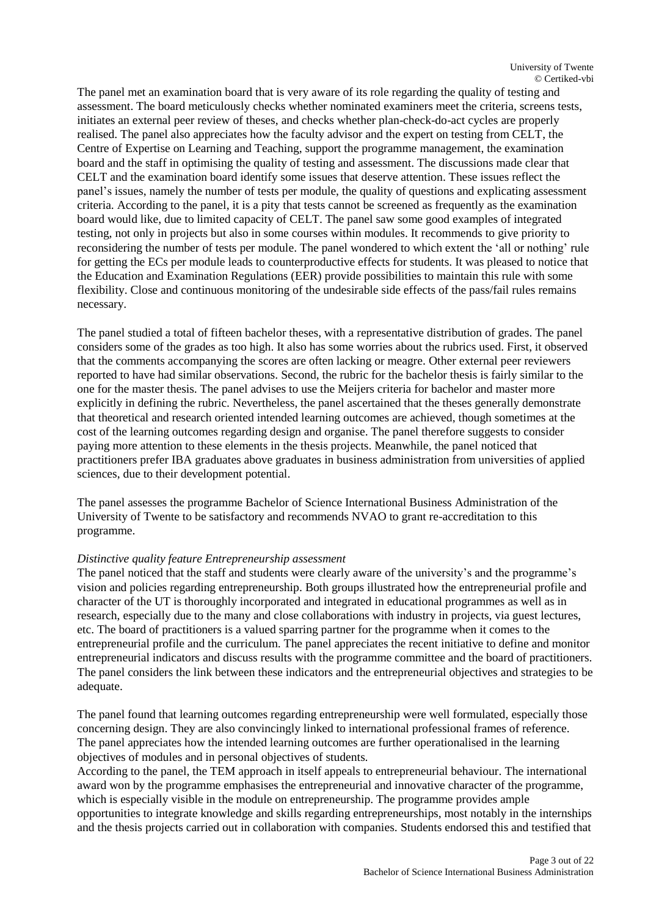The panel met an examination board that is very aware of its role regarding the quality of testing and assessment. The board meticulously checks whether nominated examiners meet the criteria, screens tests, initiates an external peer review of theses, and checks whether plan-check-do-act cycles are properly realised. The panel also appreciates how the faculty advisor and the expert on testing from CELT, the Centre of Expertise on Learning and Teaching, support the programme management, the examination board and the staff in optimising the quality of testing and assessment. The discussions made clear that CELT and the examination board identify some issues that deserve attention. These issues reflect the panel's issues, namely the number of tests per module, the quality of questions and explicating assessment criteria. According to the panel, it is a pity that tests cannot be screened as frequently as the examination board would like, due to limited capacity of CELT. The panel saw some good examples of integrated testing, not only in projects but also in some courses within modules. It recommends to give priority to reconsidering the number of tests per module. The panel wondered to which extent the 'all or nothing' rule for getting the ECs per module leads to counterproductive effects for students. It was pleased to notice that the Education and Examination Regulations (EER) provide possibilities to maintain this rule with some flexibility. Close and continuous monitoring of the undesirable side effects of the pass/fail rules remains necessary.

The panel studied a total of fifteen bachelor theses, with a representative distribution of grades. The panel considers some of the grades as too high. It also has some worries about the rubrics used. First, it observed that the comments accompanying the scores are often lacking or meagre. Other external peer reviewers reported to have had similar observations. Second, the rubric for the bachelor thesis is fairly similar to the one for the master thesis. The panel advises to use the Meijers criteria for bachelor and master more explicitly in defining the rubric. Nevertheless, the panel ascertained that the theses generally demonstrate that theoretical and research oriented intended learning outcomes are achieved, though sometimes at the cost of the learning outcomes regarding design and organise. The panel therefore suggests to consider paying more attention to these elements in the thesis projects. Meanwhile, the panel noticed that practitioners prefer IBA graduates above graduates in business administration from universities of applied sciences, due to their development potential.

The panel assesses the programme Bachelor of Science International Business Administration of the University of Twente to be satisfactory and recommends NVAO to grant re-accreditation to this programme.

#### *Distinctive quality feature Entrepreneurship assessment*

The panel noticed that the staff and students were clearly aware of the university's and the programme's vision and policies regarding entrepreneurship. Both groups illustrated how the entrepreneurial profile and character of the UT is thoroughly incorporated and integrated in educational programmes as well as in research, especially due to the many and close collaborations with industry in projects, via guest lectures, etc. The board of practitioners is a valued sparring partner for the programme when it comes to the entrepreneurial profile and the curriculum. The panel appreciates the recent initiative to define and monitor entrepreneurial indicators and discuss results with the programme committee and the board of practitioners. The panel considers the link between these indicators and the entrepreneurial objectives and strategies to be adequate.

The panel found that learning outcomes regarding entrepreneurship were well formulated, especially those concerning design. They are also convincingly linked to international professional frames of reference. The panel appreciates how the intended learning outcomes are further operationalised in the learning objectives of modules and in personal objectives of students.

According to the panel, the TEM approach in itself appeals to entrepreneurial behaviour. The international award won by the programme emphasises the entrepreneurial and innovative character of the programme, which is especially visible in the module on entrepreneurship. The programme provides ample opportunities to integrate knowledge and skills regarding entrepreneurships, most notably in the internships and the thesis projects carried out in collaboration with companies. Students endorsed this and testified that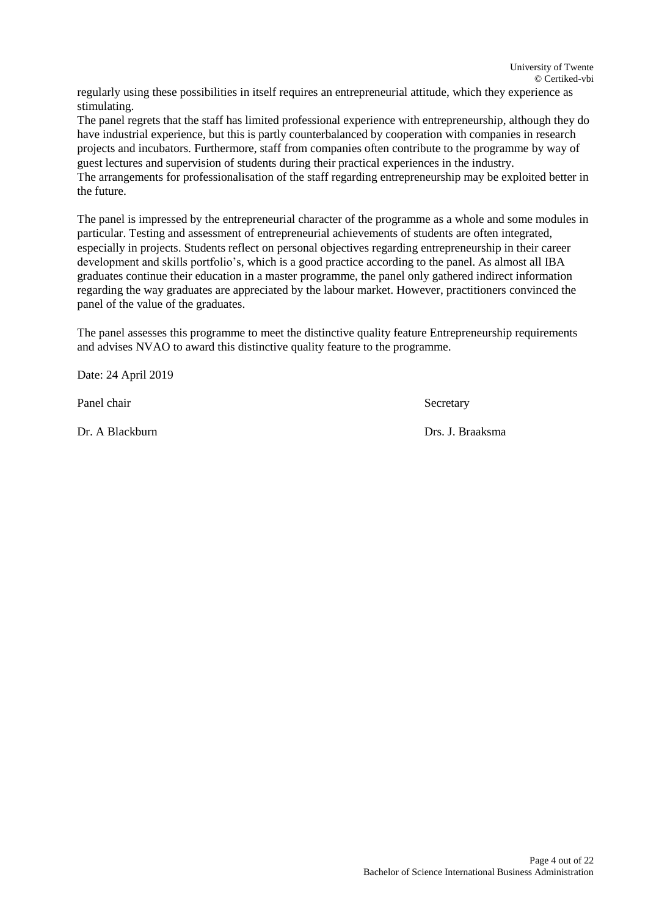regularly using these possibilities in itself requires an entrepreneurial attitude, which they experience as stimulating.

The panel regrets that the staff has limited professional experience with entrepreneurship, although they do have industrial experience, but this is partly counterbalanced by cooperation with companies in research projects and incubators. Furthermore, staff from companies often contribute to the programme by way of guest lectures and supervision of students during their practical experiences in the industry. The arrangements for professionalisation of the staff regarding entrepreneurship may be exploited better in the future.

The panel is impressed by the entrepreneurial character of the programme as a whole and some modules in particular. Testing and assessment of entrepreneurial achievements of students are often integrated, especially in projects. Students reflect on personal objectives regarding entrepreneurship in their career development and skills portfolio's, which is a good practice according to the panel. As almost all IBA graduates continue their education in a master programme, the panel only gathered indirect information regarding the way graduates are appreciated by the labour market. However, practitioners convinced the panel of the value of the graduates.

The panel assesses this programme to meet the distinctive quality feature Entrepreneurship requirements and advises NVAO to award this distinctive quality feature to the programme.

Date: 24 April 2019

Panel chair Secretary

Dr. A Blackburn Drs. J. Braaksma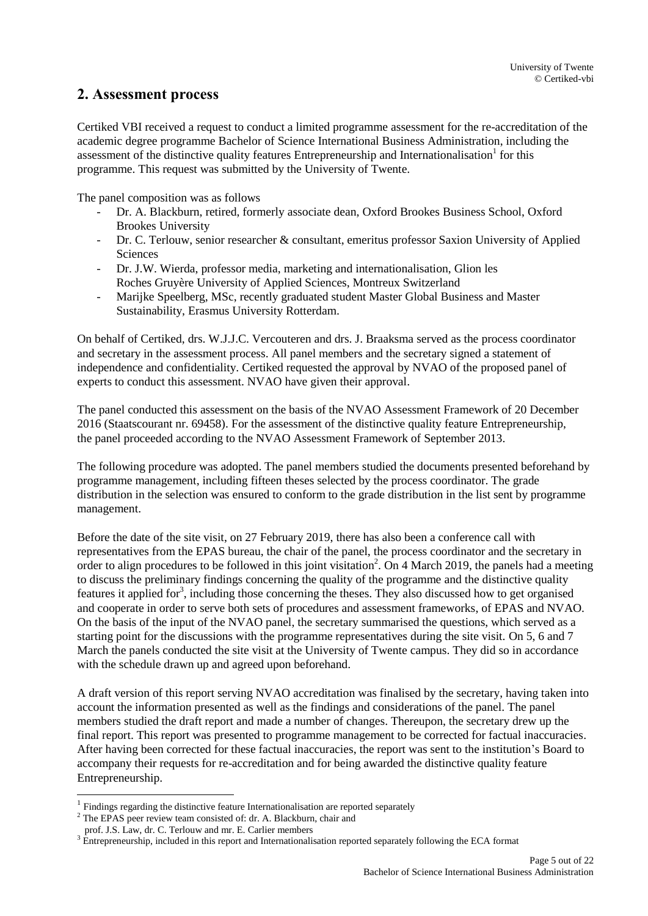## <span id="page-4-0"></span>**2. Assessment process**

Certiked VBI received a request to conduct a limited programme assessment for the re-accreditation of the academic degree programme Bachelor of Science International Business Administration, including the assessment of the distinctive quality features Entrepreneurship and Internationalisation<sup>1</sup> for this programme. This request was submitted by the University of Twente.

The panel composition was as follows

- Dr. A. Blackburn, retired, formerly associate dean, Oxford Brookes Business School, Oxford Brookes University
- Dr. C. Terlouw, senior researcher & consultant, emeritus professor Saxion University of Applied **Sciences**
- Dr. J.W. Wierda, professor media, marketing and internationalisation, Glion les Roches Gruyère University of Applied Sciences, Montreux Switzerland
- Marijke Speelberg, MSc, recently graduated student Master Global Business and Master Sustainability, Erasmus University Rotterdam.

On behalf of Certiked, drs. W.J.J.C. Vercouteren and drs. J. Braaksma served as the process coordinator and secretary in the assessment process. All panel members and the secretary signed a statement of independence and confidentiality. Certiked requested the approval by NVAO of the proposed panel of experts to conduct this assessment. NVAO have given their approval.

The panel conducted this assessment on the basis of the NVAO Assessment Framework of 20 December 2016 (Staatscourant nr. 69458). For the assessment of the distinctive quality feature Entrepreneurship, the panel proceeded according to the NVAO Assessment Framework of September 2013.

The following procedure was adopted. The panel members studied the documents presented beforehand by programme management, including fifteen theses selected by the process coordinator. The grade distribution in the selection was ensured to conform to the grade distribution in the list sent by programme management.

Before the date of the site visit, on 27 February 2019, there has also been a conference call with representatives from the EPAS bureau, the chair of the panel, the process coordinator and the secretary in order to align procedures to be followed in this joint visitation<sup>2</sup>. On 4 March 2019, the panels had a meeting to discuss the preliminary findings concerning the quality of the programme and the distinctive quality features it applied for<sup>3</sup>, including those concerning the theses. They also discussed how to get organised and cooperate in order to serve both sets of procedures and assessment frameworks, of EPAS and NVAO. On the basis of the input of the NVAO panel, the secretary summarised the questions, which served as a starting point for the discussions with the programme representatives during the site visit. On 5, 6 and 7 March the panels conducted the site visit at the University of Twente campus. They did so in accordance with the schedule drawn up and agreed upon beforehand.

A draft version of this report serving NVAO accreditation was finalised by the secretary, having taken into account the information presented as well as the findings and considerations of the panel. The panel members studied the draft report and made a number of changes. Thereupon, the secretary drew up the final report. This report was presented to programme management to be corrected for factual inaccuracies. After having been corrected for these factual inaccuracies, the report was sent to the institution's Board to accompany their requests for re-accreditation and for being awarded the distinctive quality feature Entrepreneurship.

 $\overline{a}$ 

 $<sup>1</sup>$  Findings regarding the distinctive feature Internationalisation are reported separately</sup>

 $2$  The EPAS peer review team consisted of: dr. A. Blackburn, chair and

prof. J.S. Law, dr. C. Terlouw and mr. E. Carlier members

<sup>&</sup>lt;sup>3</sup> Entrepreneurship, included in this report and Internationalisation reported separately following the ECA format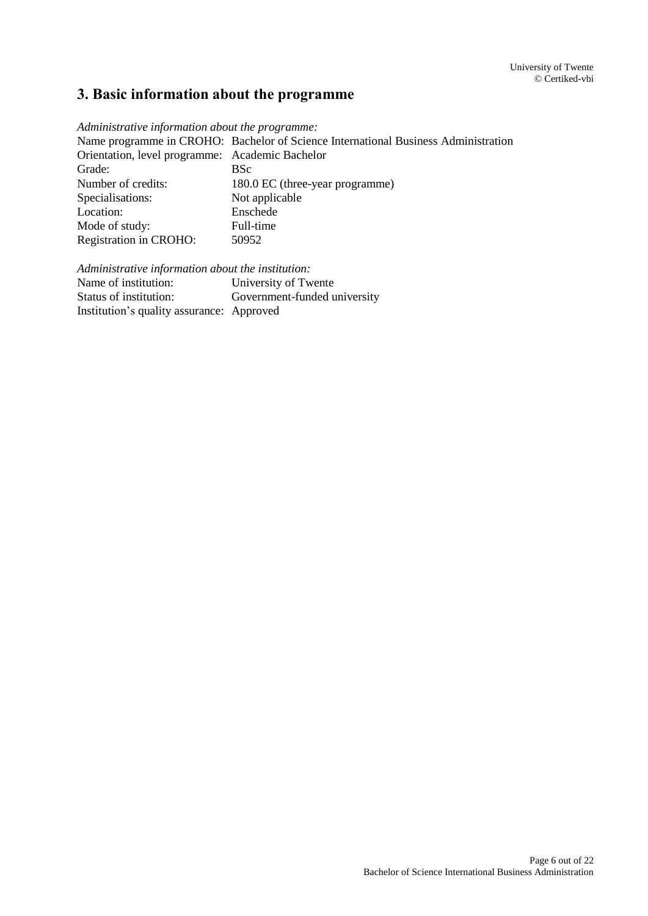## <span id="page-5-0"></span>**3. Basic information about the programme**

*Administrative information about the programme:*

Name programme in CROHO: Bachelor of Science International Business Administration Orientation, level programme: Academic Bachelor Grade: BSc<br>Number of credits: 180. 180.0 EC (three-year programme) Specialisations: Not applicable Location: Enschede Mode of study: Full-time Registration in CROHO: 50952

*Administrative information about the institution:*

University of Twente Status of institution: Government-funded university Institution's quality assurance: Approved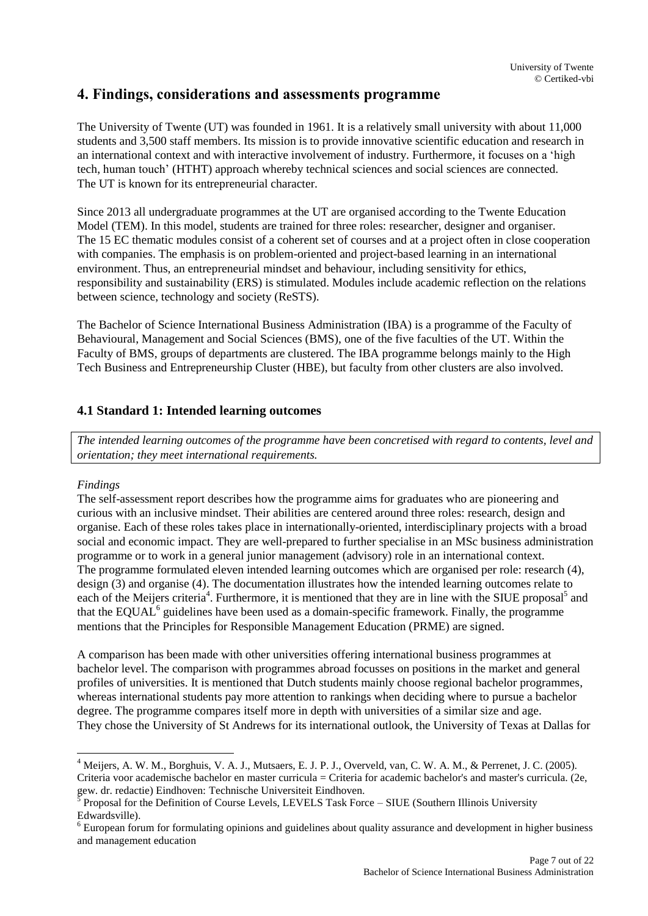## <span id="page-6-0"></span>**4. Findings, considerations and assessments programme**

The University of Twente (UT) was founded in 1961. It is a relatively small university with about 11,000 students and 3,500 staff members. Its mission is to provide innovative scientific education and research in an international context and with interactive involvement of industry. Furthermore, it focuses on a 'high tech, human touch' (HTHT) approach whereby technical sciences and social sciences are connected. The UT is known for its entrepreneurial character.

Since 2013 all undergraduate programmes at the UT are organised according to the Twente Education Model (TEM). In this model, students are trained for three roles: researcher, designer and organiser. The 15 EC thematic modules consist of a coherent set of courses and at a project often in close cooperation with companies. The emphasis is on problem-oriented and project-based learning in an international environment. Thus, an entrepreneurial mindset and behaviour, including sensitivity for ethics, responsibility and sustainability (ERS) is stimulated. Modules include academic reflection on the relations between science, technology and society (ReSTS).

The Bachelor of Science International Business Administration (IBA) is a programme of the Faculty of Behavioural, Management and Social Sciences (BMS), one of the five faculties of the UT. Within the Faculty of BMS, groups of departments are clustered. The IBA programme belongs mainly to the High Tech Business and Entrepreneurship Cluster (HBE), but faculty from other clusters are also involved.

#### <span id="page-6-1"></span>**4.1 Standard 1: Intended learning outcomes**

*The intended learning outcomes of the programme have been concretised with regard to contents, level and orientation; they meet international requirements.*

#### *Findings*

 $\overline{a}$ 

The self-assessment report describes how the programme aims for graduates who are pioneering and curious with an inclusive mindset. Their abilities are centered around three roles: research, design and organise. Each of these roles takes place in internationally-oriented, interdisciplinary projects with a broad social and economic impact. They are well-prepared to further specialise in an MSc business administration programme or to work in a general junior management (advisory) role in an international context. The programme formulated eleven intended learning outcomes which are organised per role: research (4), design (3) and organise (4). The documentation illustrates how the intended learning outcomes relate to each of the Meijers criteria<sup>4</sup>. Furthermore, it is mentioned that they are in line with the SIUE proposal<sup>5</sup> and that the EQUAL<sup>6</sup> guidelines have been used as a domain-specific framework. Finally, the programme mentions that the Principles for Responsible Management Education (PRME) are signed.

A comparison has been made with other universities offering international business programmes at bachelor level. The comparison with programmes abroad focusses on positions in the market and general profiles of universities. It is mentioned that Dutch students mainly choose regional bachelor programmes, whereas international students pay more attention to rankings when deciding where to pursue a bachelor degree. The programme compares itself more in depth with universities of a similar size and age. They chose the University of St Andrews for its international outlook, the University of Texas at Dallas for

<sup>&</sup>lt;sup>4</sup> Meijers, A. W. M., Borghuis, V. A. J., Mutsaers, E. J. P. J., Overveld, van, C. W. A. M., & Perrenet, J. C. (2005). Criteria voor academische bachelor en master curricula = Criteria for academic bachelor's and master's curricula. (2e,

gew. dr. redactie) Eindhoven: Technische Universiteit Eindhoven.<br><sup>5</sup> Proposal for the Definition of Course Levels, LEVELS Task Force – SIUE (Southern Illinois University Edwardsville).

<sup>6</sup> European forum for formulating opinions and guidelines about quality assurance and development in higher business and management education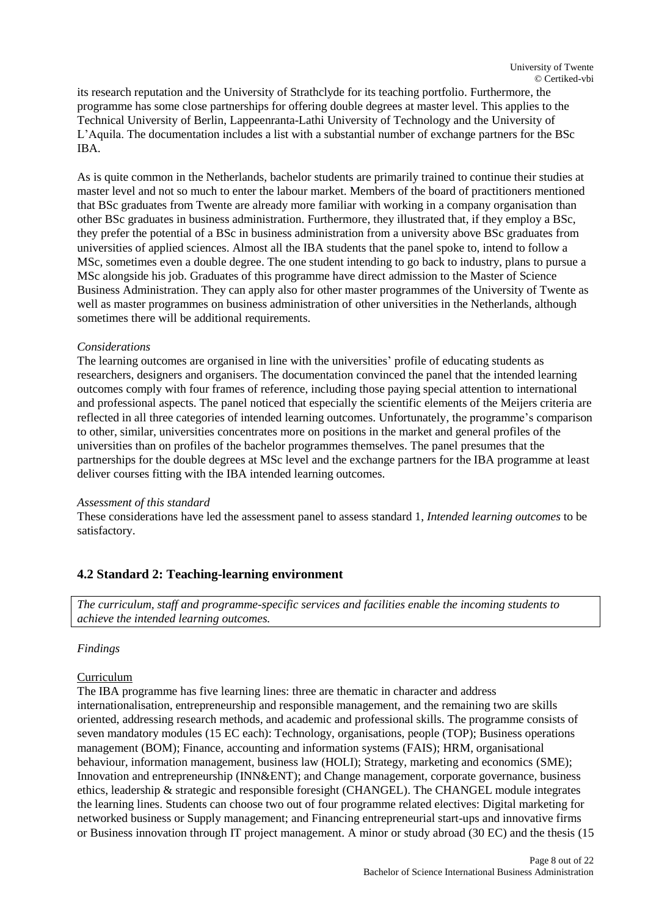its research reputation and the University of Strathclyde for its teaching portfolio. Furthermore, the programme has some close partnerships for offering double degrees at master level. This applies to the Technical University of Berlin, Lappeenranta-Lathi University of Technology and the University of L'Aquila. The documentation includes a list with a substantial number of exchange partners for the BSc IBA.

As is quite common in the Netherlands, bachelor students are primarily trained to continue their studies at master level and not so much to enter the labour market. Members of the board of practitioners mentioned that BSc graduates from Twente are already more familiar with working in a company organisation than other BSc graduates in business administration. Furthermore, they illustrated that, if they employ a BSc, they prefer the potential of a BSc in business administration from a university above BSc graduates from universities of applied sciences. Almost all the IBA students that the panel spoke to, intend to follow a MSc, sometimes even a double degree. The one student intending to go back to industry, plans to pursue a MSc alongside his job. Graduates of this programme have direct admission to the Master of Science Business Administration. They can apply also for other master programmes of the University of Twente as well as master programmes on business administration of other universities in the Netherlands, although sometimes there will be additional requirements.

#### *Considerations*

The learning outcomes are organised in line with the universities' profile of educating students as researchers, designers and organisers. The documentation convinced the panel that the intended learning outcomes comply with four frames of reference, including those paying special attention to international and professional aspects. The panel noticed that especially the scientific elements of the Meijers criteria are reflected in all three categories of intended learning outcomes. Unfortunately, the programme's comparison to other, similar, universities concentrates more on positions in the market and general profiles of the universities than on profiles of the bachelor programmes themselves. The panel presumes that the partnerships for the double degrees at MSc level and the exchange partners for the IBA programme at least deliver courses fitting with the IBA intended learning outcomes.

#### *Assessment of this standard*

These considerations have led the assessment panel to assess standard 1, *Intended learning outcomes* to be satisfactory.

#### <span id="page-7-0"></span>**4.2 Standard 2: Teaching-learning environment**

*The curriculum, staff and programme-specific services and facilities enable the incoming students to achieve the intended learning outcomes.*

#### *Findings*

#### Curriculum

The IBA programme has five learning lines: three are thematic in character and address internationalisation, entrepreneurship and responsible management, and the remaining two are skills oriented, addressing research methods, and academic and professional skills. The programme consists of seven mandatory modules (15 EC each): Technology, organisations, people (TOP); Business operations management (BOM); Finance, accounting and information systems (FAIS); HRM, organisational behaviour, information management, business law (HOLI); Strategy, marketing and economics (SME); Innovation and entrepreneurship (INN&ENT); and Change management, corporate governance, business ethics, leadership & strategic and responsible foresight (CHANGEL). The CHANGEL module integrates the learning lines. Students can choose two out of four programme related electives: Digital marketing for networked business or Supply management; and Financing entrepreneurial start-ups and innovative firms or Business innovation through IT project management. A minor or study abroad (30 EC) and the thesis (15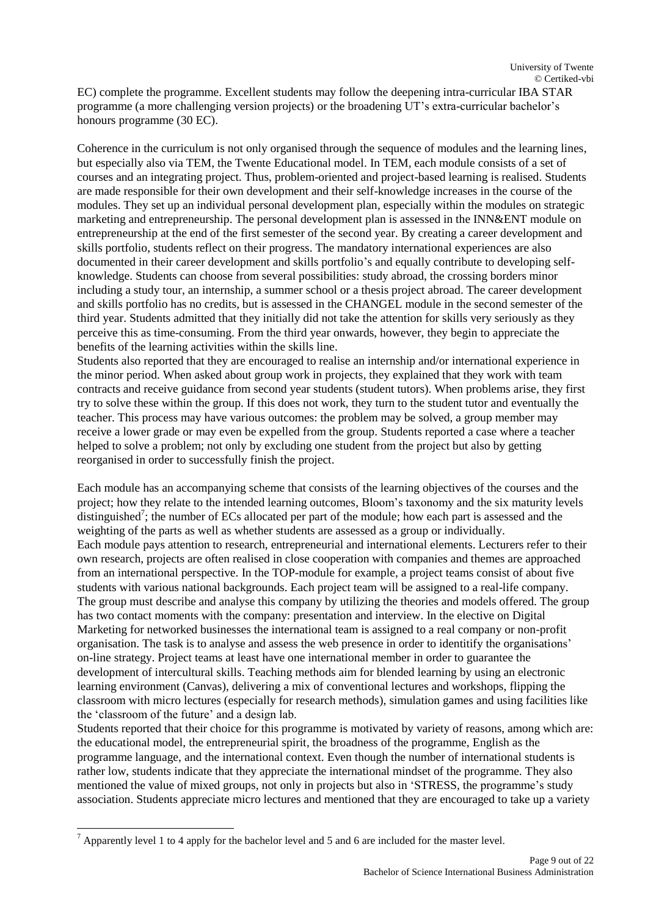EC) complete the programme. Excellent students may follow the deepening intra-curricular IBA STAR programme (a more challenging version projects) or the broadening UT's extra-curricular bachelor's honours programme (30 EC).

Coherence in the curriculum is not only organised through the sequence of modules and the learning lines, but especially also via TEM, the Twente Educational model. In TEM, each module consists of a set of courses and an integrating project. Thus, problem-oriented and project-based learning is realised. Students are made responsible for their own development and their self-knowledge increases in the course of the modules. They set up an individual personal development plan, especially within the modules on strategic marketing and entrepreneurship. The personal development plan is assessed in the INN&ENT module on entrepreneurship at the end of the first semester of the second year. By creating a career development and skills portfolio, students reflect on their progress. The mandatory international experiences are also documented in their career development and skills portfolio's and equally contribute to developing selfknowledge. Students can choose from several possibilities: study abroad, the crossing borders minor including a study tour, an internship, a summer school or a thesis project abroad. The career development and skills portfolio has no credits, but is assessed in the CHANGEL module in the second semester of the third year. Students admitted that they initially did not take the attention for skills very seriously as they perceive this as time-consuming. From the third year onwards, however, they begin to appreciate the benefits of the learning activities within the skills line.

Students also reported that they are encouraged to realise an internship and/or international experience in the minor period. When asked about group work in projects, they explained that they work with team contracts and receive guidance from second year students (student tutors). When problems arise, they first try to solve these within the group. If this does not work, they turn to the student tutor and eventually the teacher. This process may have various outcomes: the problem may be solved, a group member may receive a lower grade or may even be expelled from the group. Students reported a case where a teacher helped to solve a problem; not only by excluding one student from the project but also by getting reorganised in order to successfully finish the project.

Each module has an accompanying scheme that consists of the learning objectives of the courses and the project; how they relate to the intended learning outcomes, Bloom's taxonomy and the six maturity levels distinguished<sup>7</sup>; the number of ECs allocated per part of the module; how each part is assessed and the weighting of the parts as well as whether students are assessed as a group or individually. Each module pays attention to research, entrepreneurial and international elements. Lecturers refer to their own research, projects are often realised in close cooperation with companies and themes are approached from an international perspective. In the TOP-module for example, a project teams consist of about five students with various national backgrounds. Each project team will be assigned to a real-life company. The group must describe and analyse this company by utilizing the theories and models offered. The group has two contact moments with the company: presentation and interview. In the elective on Digital Marketing for networked businesses the international team is assigned to a real company or non-profit organisation. The task is to analyse and assess the web presence in order to identitify the organisations' on-line strategy. Project teams at least have one international member in order to guarantee the development of intercultural skills. Teaching methods aim for blended learning by using an electronic learning environment (Canvas), delivering a mix of conventional lectures and workshops, flipping the classroom with micro lectures (especially for research methods), simulation games and using facilities like the 'classroom of the future' and a design lab.

Students reported that their choice for this programme is motivated by variety of reasons, among which are: the educational model, the entrepreneurial spirit, the broadness of the programme, English as the programme language, and the international context. Even though the number of international students is rather low, students indicate that they appreciate the international mindset of the programme. They also mentioned the value of mixed groups, not only in projects but also in 'STRESS, the programme's study association. Students appreciate micro lectures and mentioned that they are encouraged to take up a variety

 $\overline{a}$ 

 $<sup>7</sup>$  Apparently level 1 to 4 apply for the bachelor level and 5 and 6 are included for the master level.</sup>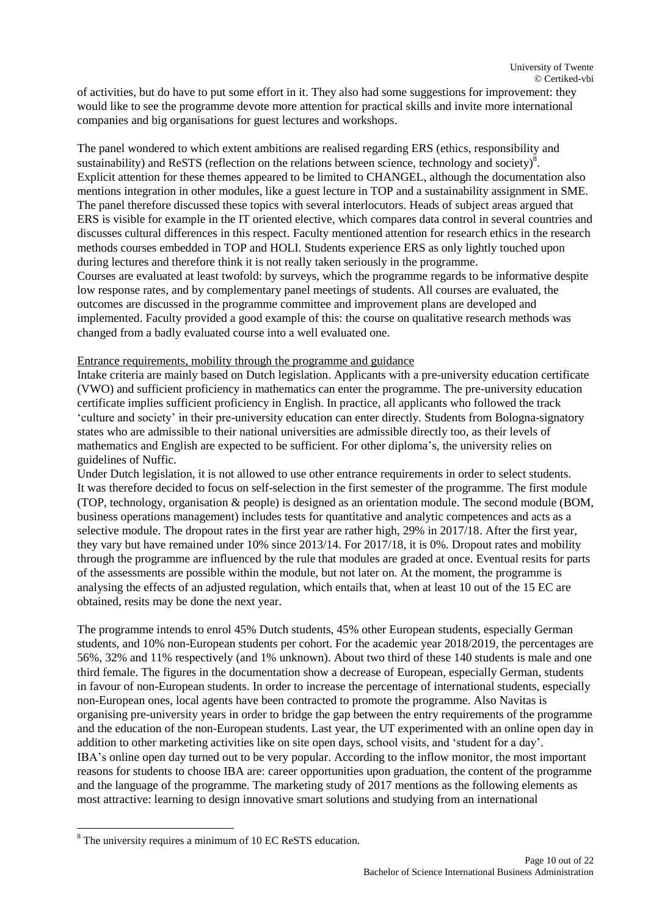of activities, but do have to put some effort in it. They also had some suggestions for improvement: they would like to see the programme devote more attention for practical skills and invite more international companies and big organisations for guest lectures and workshops.

The panel wondered to which extent ambitions are realised regarding ERS (ethics, responsibility and sustainability) and ReSTS (reflection on the relations between science, technology and society)<sup>8</sup>. Explicit attention for these themes appeared to be limited to CHANGEL, although the documentation also mentions integration in other modules, like a guest lecture in TOP and a sustainability assignment in SME. The panel therefore discussed these topics with several interlocutors. Heads of subject areas argued that ERS is visible for example in the IT oriented elective, which compares data control in several countries and discusses cultural differences in this respect. Faculty mentioned attention for research ethics in the research methods courses embedded in TOP and HOLI. Students experience ERS as only lightly touched upon during lectures and therefore think it is not really taken seriously in the programme. Courses are evaluated at least twofold: by surveys, which the programme regards to be informative despite low response rates, and by complementary panel meetings of students. All courses are evaluated, the outcomes are discussed in the programme committee and improvement plans are developed and implemented. Faculty provided a good example of this: the course on qualitative research methods was changed from a badly evaluated course into a well evaluated one.

#### Entrance requirements, mobility through the programme and guidance

Intake criteria are mainly based on Dutch legislation. Applicants with a pre-university education certificate (VWO) and sufficient proficiency in mathematics can enter the programme. The pre-university education certificate implies sufficient proficiency in English. In practice, all applicants who followed the track 'culture and society' in their pre-university education can enter directly. Students from Bologna-signatory states who are admissible to their national universities are admissible directly too, as their levels of mathematics and English are expected to be sufficient. For other diploma's, the university relies on guidelines of Nuffic.

Under Dutch legislation, it is not allowed to use other entrance requirements in order to select students. It was therefore decided to focus on self-selection in the first semester of the programme. The first module (TOP, technology, organisation & people) is designed as an orientation module. The second module (BOM, business operations management) includes tests for quantitative and analytic competences and acts as a selective module. The dropout rates in the first year are rather high, 29% in 2017/18. After the first year, they vary but have remained under 10% since 2013/14. For 2017/18, it is 0%. Dropout rates and mobility through the programme are influenced by the rule that modules are graded at once. Eventual resits for parts of the assessments are possible within the module, but not later on. At the moment, the programme is analysing the effects of an adjusted regulation, which entails that, when at least 10 out of the 15 EC are obtained, resits may be done the next year.

The programme intends to enrol 45% Dutch students, 45% other European students, especially German students, and 10% non-European students per cohort. For the academic year 2018/2019, the percentages are 56%, 32% and 11% respectively (and 1% unknown). About two third of these 140 students is male and one third female. The figures in the documentation show a decrease of European, especially German, students in favour of non-European students. In order to increase the percentage of international students, especially non-European ones, local agents have been contracted to promote the programme. Also Navitas is organising pre-university years in order to bridge the gap between the entry requirements of the programme and the education of the non-European students. Last year, the UT experimented with an online open day in addition to other marketing activities like on site open days, school visits, and 'student for a day'. IBA's online open day turned out to be very popular. According to the inflow monitor, the most important reasons for students to choose IBA are: career opportunities upon graduation, the content of the programme and the language of the programme. The marketing study of 2017 mentions as the following elements as most attractive: learning to design innovative smart solutions and studying from an international

 $\overline{a}$ 

<sup>8</sup> The university requires a minimum of 10 EC ReSTS education.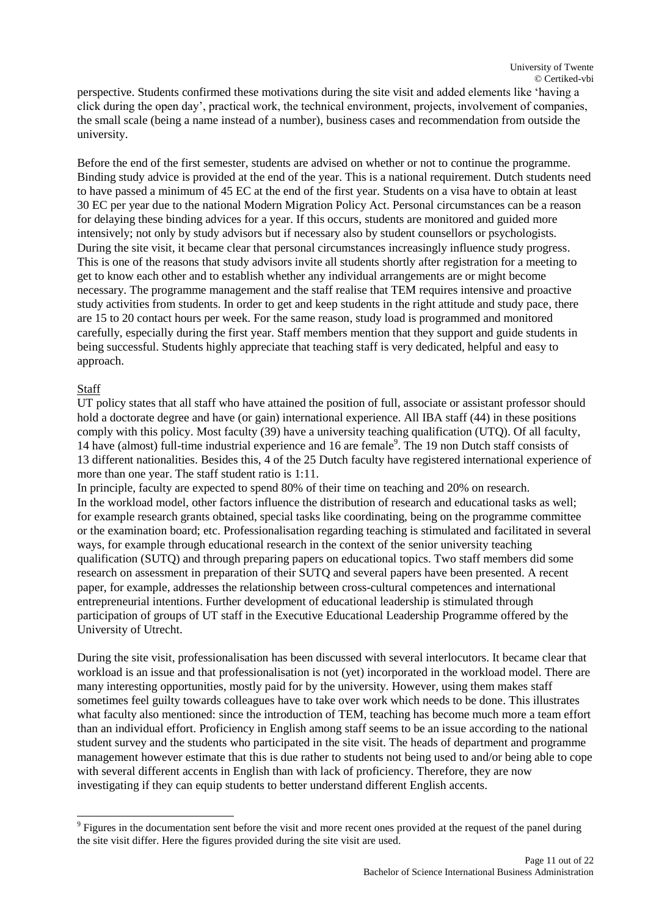perspective. Students confirmed these motivations during the site visit and added elements like 'having a click during the open day', practical work, the technical environment, projects, involvement of companies, the small scale (being a name instead of a number), business cases and recommendation from outside the university.

Before the end of the first semester, students are advised on whether or not to continue the programme. Binding study advice is provided at the end of the year. This is a national requirement. Dutch students need to have passed a minimum of 45 EC at the end of the first year. Students on a visa have to obtain at least 30 EC per year due to the national Modern Migration Policy Act. Personal circumstances can be a reason for delaying these binding advices for a year. If this occurs, students are monitored and guided more intensively; not only by study advisors but if necessary also by student counsellors or psychologists. During the site visit, it became clear that personal circumstances increasingly influence study progress. This is one of the reasons that study advisors invite all students shortly after registration for a meeting to get to know each other and to establish whether any individual arrangements are or might become necessary. The programme management and the staff realise that TEM requires intensive and proactive study activities from students. In order to get and keep students in the right attitude and study pace, there are 15 to 20 contact hours per week. For the same reason, study load is programmed and monitored carefully, especially during the first year. Staff members mention that they support and guide students in being successful. Students highly appreciate that teaching staff is very dedicated, helpful and easy to approach.

#### Staff

l

UT policy states that all staff who have attained the position of full, associate or assistant professor should hold a doctorate degree and have (or gain) international experience. All IBA staff (44) in these positions comply with this policy. Most faculty (39) have a university teaching qualification (UTQ). Of all faculty, 14 have (almost) full-time industrial experience and 16 are female<sup>9</sup>. The 19 non Dutch staff consists of 13 different nationalities. Besides this, 4 of the 25 Dutch faculty have registered international experience of more than one year. The staff student ratio is 1:11.

In principle, faculty are expected to spend 80% of their time on teaching and 20% on research. In the workload model, other factors influence the distribution of research and educational tasks as well; for example research grants obtained, special tasks like coordinating, being on the programme committee or the examination board; etc. Professionalisation regarding teaching is stimulated and facilitated in several ways, for example through educational research in the context of the senior university teaching qualification (SUTQ) and through preparing papers on educational topics. Two staff members did some research on assessment in preparation of their SUTQ and several papers have been presented. A recent paper, for example, addresses the relationship between cross-cultural competences and international entrepreneurial intentions. Further development of educational leadership is stimulated through participation of groups of UT staff in the Executive Educational Leadership Programme offered by the University of Utrecht.

During the site visit, professionalisation has been discussed with several interlocutors. It became clear that workload is an issue and that professionalisation is not (yet) incorporated in the workload model. There are many interesting opportunities, mostly paid for by the university. However, using them makes staff sometimes feel guilty towards colleagues have to take over work which needs to be done. This illustrates what faculty also mentioned: since the introduction of TEM, teaching has become much more a team effort than an individual effort. Proficiency in English among staff seems to be an issue according to the national student survey and the students who participated in the site visit. The heads of department and programme management however estimate that this is due rather to students not being used to and/or being able to cope with several different accents in English than with lack of proficiency. Therefore, they are now investigating if they can equip students to better understand different English accents.

 $9$  Figures in the documentation sent before the visit and more recent ones provided at the request of the panel during the site visit differ. Here the figures provided during the site visit are used.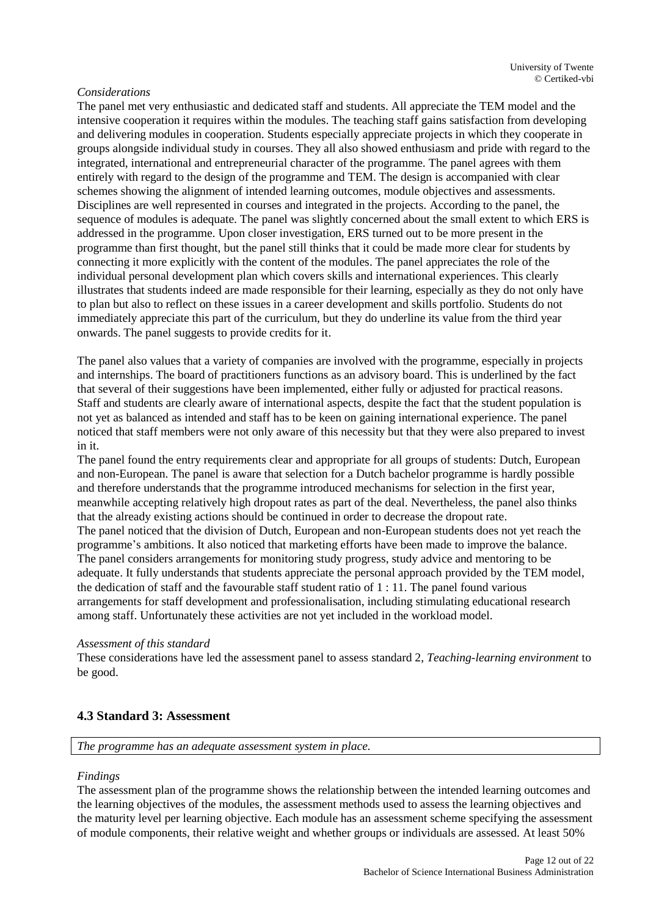#### *Considerations*

The panel met very enthusiastic and dedicated staff and students. All appreciate the TEM model and the intensive cooperation it requires within the modules. The teaching staff gains satisfaction from developing and delivering modules in cooperation. Students especially appreciate projects in which they cooperate in groups alongside individual study in courses. They all also showed enthusiasm and pride with regard to the integrated, international and entrepreneurial character of the programme. The panel agrees with them entirely with regard to the design of the programme and TEM. The design is accompanied with clear schemes showing the alignment of intended learning outcomes, module objectives and assessments. Disciplines are well represented in courses and integrated in the projects. According to the panel, the sequence of modules is adequate. The panel was slightly concerned about the small extent to which ERS is addressed in the programme. Upon closer investigation, ERS turned out to be more present in the programme than first thought, but the panel still thinks that it could be made more clear for students by connecting it more explicitly with the content of the modules. The panel appreciates the role of the individual personal development plan which covers skills and international experiences. This clearly illustrates that students indeed are made responsible for their learning, especially as they do not only have to plan but also to reflect on these issues in a career development and skills portfolio. Students do not immediately appreciate this part of the curriculum, but they do underline its value from the third year onwards. The panel suggests to provide credits for it.

The panel also values that a variety of companies are involved with the programme, especially in projects and internships. The board of practitioners functions as an advisory board. This is underlined by the fact that several of their suggestions have been implemented, either fully or adjusted for practical reasons. Staff and students are clearly aware of international aspects, despite the fact that the student population is not yet as balanced as intended and staff has to be keen on gaining international experience. The panel noticed that staff members were not only aware of this necessity but that they were also prepared to invest in it.

The panel found the entry requirements clear and appropriate for all groups of students: Dutch, European and non-European. The panel is aware that selection for a Dutch bachelor programme is hardly possible and therefore understands that the programme introduced mechanisms for selection in the first year, meanwhile accepting relatively high dropout rates as part of the deal. Nevertheless, the panel also thinks that the already existing actions should be continued in order to decrease the dropout rate. The panel noticed that the division of Dutch, European and non-European students does not yet reach the programme's ambitions. It also noticed that marketing efforts have been made to improve the balance. The panel considers arrangements for monitoring study progress, study advice and mentoring to be adequate. It fully understands that students appreciate the personal approach provided by the TEM model, the dedication of staff and the favourable staff student ratio of 1 : 11. The panel found various arrangements for staff development and professionalisation, including stimulating educational research among staff. Unfortunately these activities are not yet included in the workload model.

#### *Assessment of this standard*

These considerations have led the assessment panel to assess standard 2, *Teaching-learning environment* to be good.

#### <span id="page-11-0"></span>**4.3 Standard 3: Assessment**

*The programme has an adequate assessment system in place.*

#### *Findings*

The assessment plan of the programme shows the relationship between the intended learning outcomes and the learning objectives of the modules, the assessment methods used to assess the learning objectives and the maturity level per learning objective. Each module has an assessment scheme specifying the assessment of module components, their relative weight and whether groups or individuals are assessed. At least 50%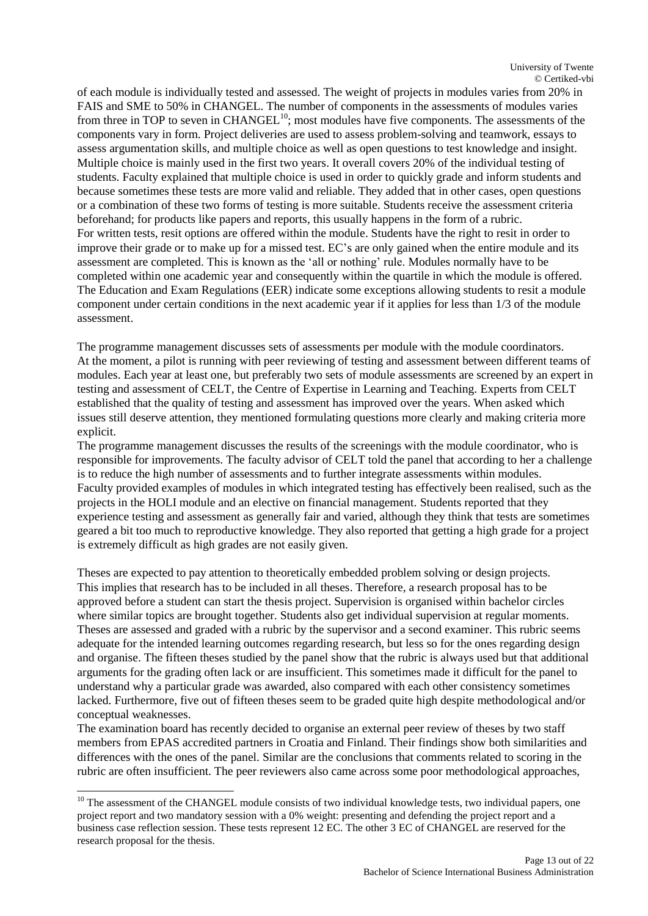of each module is individually tested and assessed. The weight of projects in modules varies from 20% in FAIS and SME to 50% in CHANGEL. The number of components in the assessments of modules varies from three in TOP to seven in CHANGEL<sup>10</sup>; most modules have five components. The assessments of the components vary in form. Project deliveries are used to assess problem-solving and teamwork, essays to assess argumentation skills, and multiple choice as well as open questions to test knowledge and insight. Multiple choice is mainly used in the first two years. It overall covers 20% of the individual testing of students. Faculty explained that multiple choice is used in order to quickly grade and inform students and because sometimes these tests are more valid and reliable. They added that in other cases, open questions or a combination of these two forms of testing is more suitable. Students receive the assessment criteria beforehand; for products like papers and reports, this usually happens in the form of a rubric. For written tests, resit options are offered within the module. Students have the right to resit in order to improve their grade or to make up for a missed test. EC's are only gained when the entire module and its assessment are completed. This is known as the 'all or nothing' rule. Modules normally have to be completed within one academic year and consequently within the quartile in which the module is offered. The Education and Exam Regulations (EER) indicate some exceptions allowing students to resit a module component under certain conditions in the next academic year if it applies for less than 1/3 of the module assessment.

The programme management discusses sets of assessments per module with the module coordinators. At the moment, a pilot is running with peer reviewing of testing and assessment between different teams of modules. Each year at least one, but preferably two sets of module assessments are screened by an expert in testing and assessment of CELT, the Centre of Expertise in Learning and Teaching. Experts from CELT established that the quality of testing and assessment has improved over the years. When asked which issues still deserve attention, they mentioned formulating questions more clearly and making criteria more explicit.

The programme management discusses the results of the screenings with the module coordinator, who is responsible for improvements. The faculty advisor of CELT told the panel that according to her a challenge is to reduce the high number of assessments and to further integrate assessments within modules. Faculty provided examples of modules in which integrated testing has effectively been realised, such as the projects in the HOLI module and an elective on financial management. Students reported that they experience testing and assessment as generally fair and varied, although they think that tests are sometimes geared a bit too much to reproductive knowledge. They also reported that getting a high grade for a project is extremely difficult as high grades are not easily given.

Theses are expected to pay attention to theoretically embedded problem solving or design projects. This implies that research has to be included in all theses. Therefore, a research proposal has to be approved before a student can start the thesis project. Supervision is organised within bachelor circles where similar topics are brought together. Students also get individual supervision at regular moments. Theses are assessed and graded with a rubric by the supervisor and a second examiner. This rubric seems adequate for the intended learning outcomes regarding research, but less so for the ones regarding design and organise. The fifteen theses studied by the panel show that the rubric is always used but that additional arguments for the grading often lack or are insufficient. This sometimes made it difficult for the panel to understand why a particular grade was awarded, also compared with each other consistency sometimes lacked. Furthermore, five out of fifteen theses seem to be graded quite high despite methodological and/or conceptual weaknesses.

The examination board has recently decided to organise an external peer review of theses by two staff members from EPAS accredited partners in Croatia and Finland. Their findings show both similarities and differences with the ones of the panel. Similar are the conclusions that comments related to scoring in the rubric are often insufficient. The peer reviewers also came across some poor methodological approaches,

 $\overline{a}$ 

<sup>&</sup>lt;sup>10</sup> The assessment of the CHANGEL module consists of two individual knowledge tests, two individual papers, one project report and two mandatory session with a 0% weight: presenting and defending the project report and a business case reflection session. These tests represent 12 EC. The other 3 EC of CHANGEL are reserved for the research proposal for the thesis.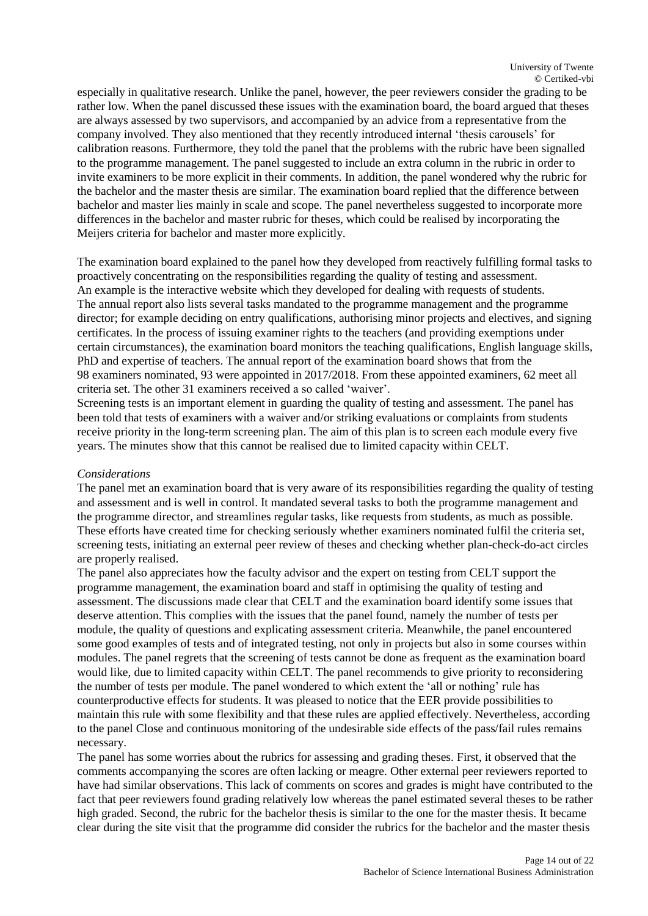especially in qualitative research. Unlike the panel, however, the peer reviewers consider the grading to be rather low. When the panel discussed these issues with the examination board, the board argued that theses are always assessed by two supervisors, and accompanied by an advice from a representative from the company involved. They also mentioned that they recently introduced internal 'thesis carousels' for calibration reasons. Furthermore, they told the panel that the problems with the rubric have been signalled to the programme management. The panel suggested to include an extra column in the rubric in order to invite examiners to be more explicit in their comments. In addition, the panel wondered why the rubric for the bachelor and the master thesis are similar. The examination board replied that the difference between bachelor and master lies mainly in scale and scope. The panel nevertheless suggested to incorporate more differences in the bachelor and master rubric for theses, which could be realised by incorporating the Meijers criteria for bachelor and master more explicitly.

The examination board explained to the panel how they developed from reactively fulfilling formal tasks to proactively concentrating on the responsibilities regarding the quality of testing and assessment. An example is the interactive website which they developed for dealing with requests of students. The annual report also lists several tasks mandated to the programme management and the programme director; for example deciding on entry qualifications, authorising minor projects and electives, and signing certificates. In the process of issuing examiner rights to the teachers (and providing exemptions under certain circumstances), the examination board monitors the teaching qualifications, English language skills, PhD and expertise of teachers. The annual report of the examination board shows that from the 98 examiners nominated, 93 were appointed in 2017/2018. From these appointed examiners, 62 meet all criteria set. The other 31 examiners received a so called 'waiver'.

Screening tests is an important element in guarding the quality of testing and assessment. The panel has been told that tests of examiners with a waiver and/or striking evaluations or complaints from students receive priority in the long-term screening plan. The aim of this plan is to screen each module every five years. The minutes show that this cannot be realised due to limited capacity within CELT.

#### *Considerations*

The panel met an examination board that is very aware of its responsibilities regarding the quality of testing and assessment and is well in control. It mandated several tasks to both the programme management and the programme director, and streamlines regular tasks, like requests from students, as much as possible. These efforts have created time for checking seriously whether examiners nominated fulfil the criteria set, screening tests, initiating an external peer review of theses and checking whether plan-check-do-act circles are properly realised.

The panel also appreciates how the faculty advisor and the expert on testing from CELT support the programme management, the examination board and staff in optimising the quality of testing and assessment. The discussions made clear that CELT and the examination board identify some issues that deserve attention. This complies with the issues that the panel found, namely the number of tests per module, the quality of questions and explicating assessment criteria. Meanwhile, the panel encountered some good examples of tests and of integrated testing, not only in projects but also in some courses within modules. The panel regrets that the screening of tests cannot be done as frequent as the examination board would like, due to limited capacity within CELT. The panel recommends to give priority to reconsidering the number of tests per module. The panel wondered to which extent the 'all or nothing' rule has counterproductive effects for students. It was pleased to notice that the EER provide possibilities to maintain this rule with some flexibility and that these rules are applied effectively. Nevertheless, according to the panel Close and continuous monitoring of the undesirable side effects of the pass/fail rules remains necessary.

The panel has some worries about the rubrics for assessing and grading theses. First, it observed that the comments accompanying the scores are often lacking or meagre. Other external peer reviewers reported to have had similar observations. This lack of comments on scores and grades is might have contributed to the fact that peer reviewers found grading relatively low whereas the panel estimated several theses to be rather high graded. Second, the rubric for the bachelor thesis is similar to the one for the master thesis. It became clear during the site visit that the programme did consider the rubrics for the bachelor and the master thesis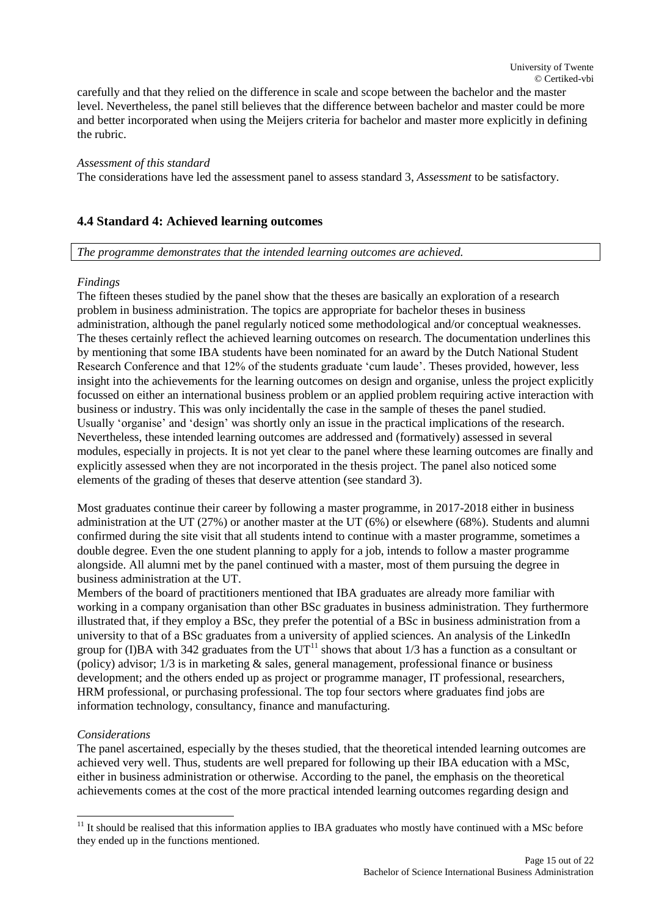carefully and that they relied on the difference in scale and scope between the bachelor and the master level. Nevertheless, the panel still believes that the difference between bachelor and master could be more and better incorporated when using the Meijers criteria for bachelor and master more explicitly in defining the rubric.

#### *Assessment of this standard*

The considerations have led the assessment panel to assess standard 3, *Assessment* to be satisfactory.

#### <span id="page-14-0"></span>**4.4 Standard 4: Achieved learning outcomes**

#### *The programme demonstrates that the intended learning outcomes are achieved.*

#### *Findings*

The fifteen theses studied by the panel show that the theses are basically an exploration of a research problem in business administration. The topics are appropriate for bachelor theses in business administration, although the panel regularly noticed some methodological and/or conceptual weaknesses. The theses certainly reflect the achieved learning outcomes on research. The documentation underlines this by mentioning that some IBA students have been nominated for an award by the Dutch National Student Research Conference and that 12% of the students graduate 'cum laude'. Theses provided, however, less insight into the achievements for the learning outcomes on design and organise, unless the project explicitly focussed on either an international business problem or an applied problem requiring active interaction with business or industry. This was only incidentally the case in the sample of theses the panel studied. Usually 'organise' and 'design' was shortly only an issue in the practical implications of the research. Nevertheless, these intended learning outcomes are addressed and (formatively) assessed in several modules, especially in projects. It is not yet clear to the panel where these learning outcomes are finally and explicitly assessed when they are not incorporated in the thesis project. The panel also noticed some elements of the grading of theses that deserve attention (see standard 3).

Most graduates continue their career by following a master programme, in 2017-2018 either in business administration at the UT (27%) or another master at the UT (6%) or elsewhere (68%). Students and alumni confirmed during the site visit that all students intend to continue with a master programme, sometimes a double degree. Even the one student planning to apply for a job, intends to follow a master programme alongside. All alumni met by the panel continued with a master, most of them pursuing the degree in business administration at the UT.

Members of the board of practitioners mentioned that IBA graduates are already more familiar with working in a company organisation than other BSc graduates in business administration. They furthermore illustrated that, if they employ a BSc, they prefer the potential of a BSc in business administration from a university to that of a BSc graduates from a university of applied sciences. An analysis of the LinkedIn group for (I)BA with 342 graduates from the  $UT<sup>11</sup>$  shows that about 1/3 has a function as a consultant or (policy) advisor; 1/3 is in marketing & sales, general management, professional finance or business development; and the others ended up as project or programme manager, IT professional, researchers, HRM professional, or purchasing professional. The top four sectors where graduates find jobs are information technology, consultancy, finance and manufacturing.

#### *Considerations*

l

The panel ascertained, especially by the theses studied, that the theoretical intended learning outcomes are achieved very well. Thus, students are well prepared for following up their IBA education with a MSc, either in business administration or otherwise. According to the panel, the emphasis on the theoretical achievements comes at the cost of the more practical intended learning outcomes regarding design and

 $11$  It should be realised that this information applies to IBA graduates who mostly have continued with a MSc before they ended up in the functions mentioned.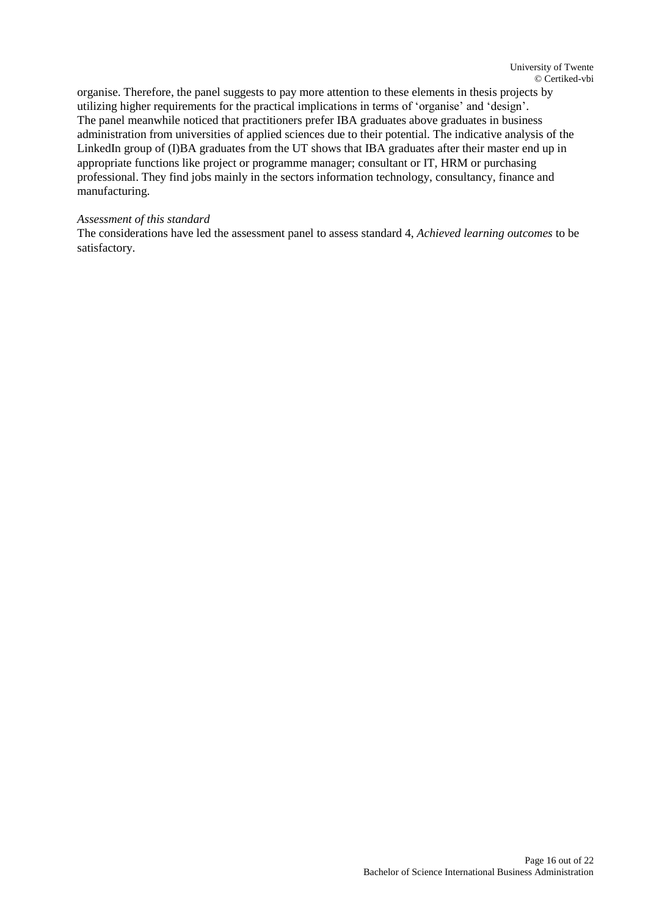organise. Therefore, the panel suggests to pay more attention to these elements in thesis projects by utilizing higher requirements for the practical implications in terms of 'organise' and 'design'. The panel meanwhile noticed that practitioners prefer IBA graduates above graduates in business administration from universities of applied sciences due to their potential. The indicative analysis of the LinkedIn group of (I)BA graduates from the UT shows that IBA graduates after their master end up in appropriate functions like project or programme manager; consultant or IT, HRM or purchasing professional. They find jobs mainly in the sectors information technology, consultancy, finance and manufacturing.

#### *Assessment of this standard*

The considerations have led the assessment panel to assess standard 4, *Achieved learning outcomes* to be satisfactory.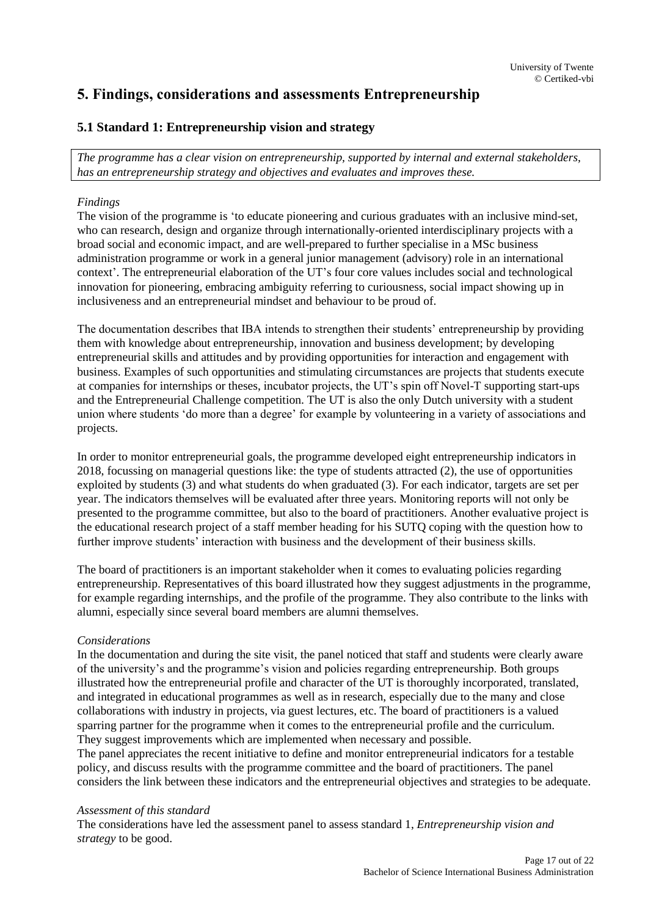## <span id="page-16-0"></span>**5. Findings, considerations and assessments Entrepreneurship**

## <span id="page-16-1"></span>**5.1 Standard 1: Entrepreneurship vision and strategy**

*The programme has a clear vision on entrepreneurship, supported by internal and external stakeholders, has an entrepreneurship strategy and objectives and evaluates and improves these.* 

#### *Findings*

The vision of the programme is 'to educate pioneering and curious graduates with an inclusive mind-set, who can research, design and organize through internationally-oriented interdisciplinary projects with a broad social and economic impact, and are well-prepared to further specialise in a MSc business administration programme or work in a general junior management (advisory) role in an international context'. The entrepreneurial elaboration of the UT's four core values includes social and technological innovation for pioneering, embracing ambiguity referring to curiousness, social impact showing up in inclusiveness and an entrepreneurial mindset and behaviour to be proud of.

The documentation describes that IBA intends to strengthen their students' entrepreneurship by providing them with knowledge about entrepreneurship, innovation and business development; by developing entrepreneurial skills and attitudes and by providing opportunities for interaction and engagement with business. Examples of such opportunities and stimulating circumstances are projects that students execute at companies for internships or theses, incubator projects, the UT's spin off Novel-T supporting start-ups and the Entrepreneurial Challenge competition. The UT is also the only Dutch university with a student union where students 'do more than a degree' for example by volunteering in a variety of associations and projects.

In order to monitor entrepreneurial goals, the programme developed eight entrepreneurship indicators in 2018, focussing on managerial questions like: the type of students attracted (2), the use of opportunities exploited by students (3) and what students do when graduated (3). For each indicator, targets are set per year. The indicators themselves will be evaluated after three years. Monitoring reports will not only be presented to the programme committee, but also to the board of practitioners. Another evaluative project is the educational research project of a staff member heading for his SUTQ coping with the question how to further improve students' interaction with business and the development of their business skills.

The board of practitioners is an important stakeholder when it comes to evaluating policies regarding entrepreneurship. Representatives of this board illustrated how they suggest adjustments in the programme, for example regarding internships, and the profile of the programme. They also contribute to the links with alumni, especially since several board members are alumni themselves.

#### *Considerations*

In the documentation and during the site visit, the panel noticed that staff and students were clearly aware of the university's and the programme's vision and policies regarding entrepreneurship. Both groups illustrated how the entrepreneurial profile and character of the UT is thoroughly incorporated, translated, and integrated in educational programmes as well as in research, especially due to the many and close collaborations with industry in projects, via guest lectures, etc. The board of practitioners is a valued sparring partner for the programme when it comes to the entrepreneurial profile and the curriculum. They suggest improvements which are implemented when necessary and possible.

The panel appreciates the recent initiative to define and monitor entrepreneurial indicators for a testable policy, and discuss results with the programme committee and the board of practitioners. The panel considers the link between these indicators and the entrepreneurial objectives and strategies to be adequate.

#### *Assessment of this standard*

The considerations have led the assessment panel to assess standard 1, *Entrepreneurship vision and strategy* to be good.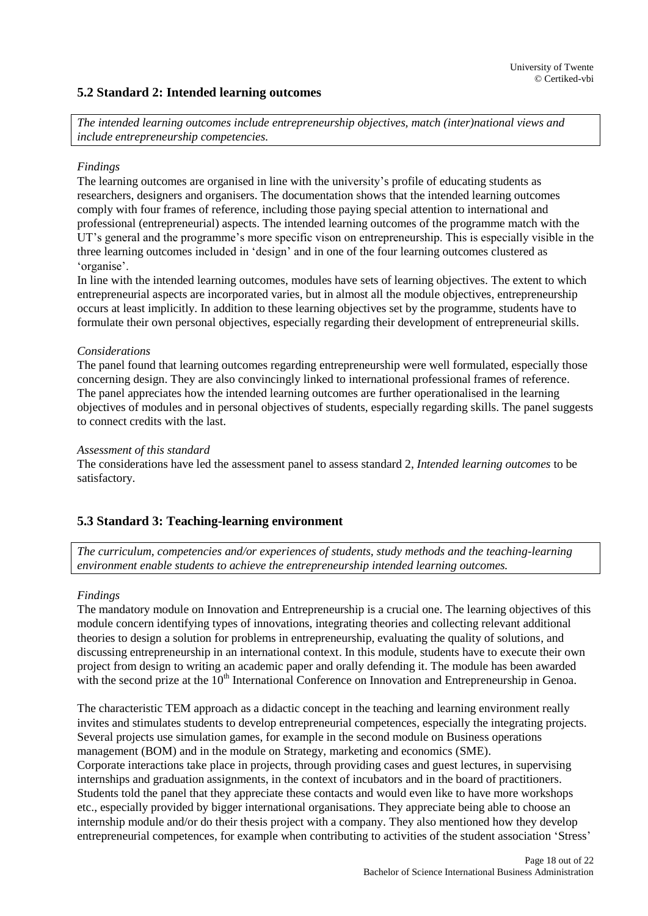#### <span id="page-17-0"></span>**5.2 Standard 2: Intended learning outcomes**

*The intended learning outcomes include entrepreneurship objectives, match (inter)national views and include entrepreneurship competencies.*

#### *Findings*

The learning outcomes are organised in line with the university's profile of educating students as researchers, designers and organisers. The documentation shows that the intended learning outcomes comply with four frames of reference, including those paying special attention to international and professional (entrepreneurial) aspects. The intended learning outcomes of the programme match with the UT's general and the programme's more specific vison on entrepreneurship. This is especially visible in the three learning outcomes included in 'design' and in one of the four learning outcomes clustered as 'organise'.

In line with the intended learning outcomes, modules have sets of learning objectives. The extent to which entrepreneurial aspects are incorporated varies, but in almost all the module objectives, entrepreneurship occurs at least implicitly. In addition to these learning objectives set by the programme, students have to formulate their own personal objectives, especially regarding their development of entrepreneurial skills.

#### *Considerations*

The panel found that learning outcomes regarding entrepreneurship were well formulated, especially those concerning design. They are also convincingly linked to international professional frames of reference. The panel appreciates how the intended learning outcomes are further operationalised in the learning objectives of modules and in personal objectives of students, especially regarding skills. The panel suggests to connect credits with the last.

#### *Assessment of this standard*

The considerations have led the assessment panel to assess standard 2, *Intended learning outcomes* to be satisfactory.

## <span id="page-17-1"></span>**5.3 Standard 3: Teaching-learning environment**

*The curriculum, competencies and/or experiences of students, study methods and the teaching-learning environment enable students to achieve the entrepreneurship intended learning outcomes.*

#### *Findings*

The mandatory module on Innovation and Entrepreneurship is a crucial one. The learning objectives of this module concern identifying types of innovations, integrating theories and collecting relevant additional theories to design a solution for problems in entrepreneurship, evaluating the quality of solutions, and discussing entrepreneurship in an international context. In this module, students have to execute their own project from design to writing an academic paper and orally defending it. The module has been awarded with the second prize at the  $10<sup>th</sup>$  International Conference on Innovation and Entrepreneurship in Genoa.

The characteristic TEM approach as a didactic concept in the teaching and learning environment really invites and stimulates students to develop entrepreneurial competences, especially the integrating projects. Several projects use simulation games, for example in the second module on Business operations management (BOM) and in the module on Strategy, marketing and economics (SME). Corporate interactions take place in projects, through providing cases and guest lectures, in supervising internships and graduation assignments, in the context of incubators and in the board of practitioners. Students told the panel that they appreciate these contacts and would even like to have more workshops etc., especially provided by bigger international organisations. They appreciate being able to choose an internship module and/or do their thesis project with a company. They also mentioned how they develop entrepreneurial competences, for example when contributing to activities of the student association 'Stress'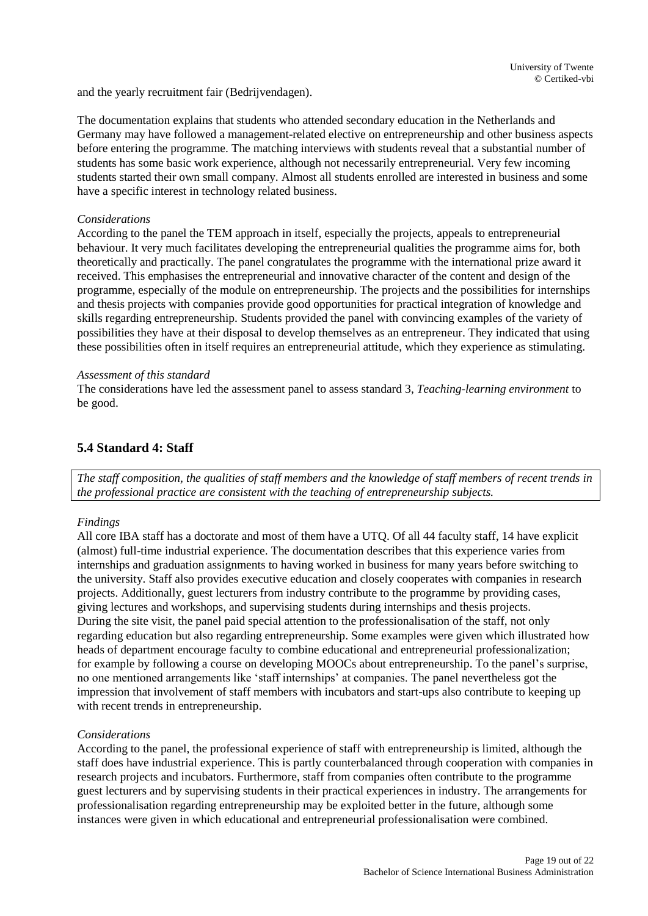and the yearly recruitment fair (Bedrijvendagen).

The documentation explains that students who attended secondary education in the Netherlands and Germany may have followed a management-related elective on entrepreneurship and other business aspects before entering the programme. The matching interviews with students reveal that a substantial number of students has some basic work experience, although not necessarily entrepreneurial. Very few incoming students started their own small company. Almost all students enrolled are interested in business and some have a specific interest in technology related business.

#### *Considerations*

According to the panel the TEM approach in itself, especially the projects, appeals to entrepreneurial behaviour. It very much facilitates developing the entrepreneurial qualities the programme aims for, both theoretically and practically. The panel congratulates the programme with the international prize award it received. This emphasises the entrepreneurial and innovative character of the content and design of the programme, especially of the module on entrepreneurship. The projects and the possibilities for internships and thesis projects with companies provide good opportunities for practical integration of knowledge and skills regarding entrepreneurship. Students provided the panel with convincing examples of the variety of possibilities they have at their disposal to develop themselves as an entrepreneur. They indicated that using these possibilities often in itself requires an entrepreneurial attitude, which they experience as stimulating.

#### *Assessment of this standard*

The considerations have led the assessment panel to assess standard 3, *Teaching-learning environment* to be good.

#### <span id="page-18-0"></span>**5.4 Standard 4: Staff**

*The staff composition, the qualities of staff members and the knowledge of staff members of recent trends in the professional practice are consistent with the teaching of entrepreneurship subjects.*

#### *Findings*

All core IBA staff has a doctorate and most of them have a UTQ. Of all 44 faculty staff, 14 have explicit (almost) full-time industrial experience. The documentation describes that this experience varies from internships and graduation assignments to having worked in business for many years before switching to the university. Staff also provides executive education and closely cooperates with companies in research projects. Additionally, guest lecturers from industry contribute to the programme by providing cases, giving lectures and workshops, and supervising students during internships and thesis projects. During the site visit, the panel paid special attention to the professionalisation of the staff, not only regarding education but also regarding entrepreneurship. Some examples were given which illustrated how heads of department encourage faculty to combine educational and entrepreneurial professionalization; for example by following a course on developing MOOCs about entrepreneurship. To the panel's surprise, no one mentioned arrangements like 'staff internships' at companies. The panel nevertheless got the impression that involvement of staff members with incubators and start-ups also contribute to keeping up with recent trends in entrepreneurship.

#### *Considerations*

According to the panel, the professional experience of staff with entrepreneurship is limited, although the staff does have industrial experience. This is partly counterbalanced through cooperation with companies in research projects and incubators. Furthermore, staff from companies often contribute to the programme guest lecturers and by supervising students in their practical experiences in industry. The arrangements for professionalisation regarding entrepreneurship may be exploited better in the future, although some instances were given in which educational and entrepreneurial professionalisation were combined.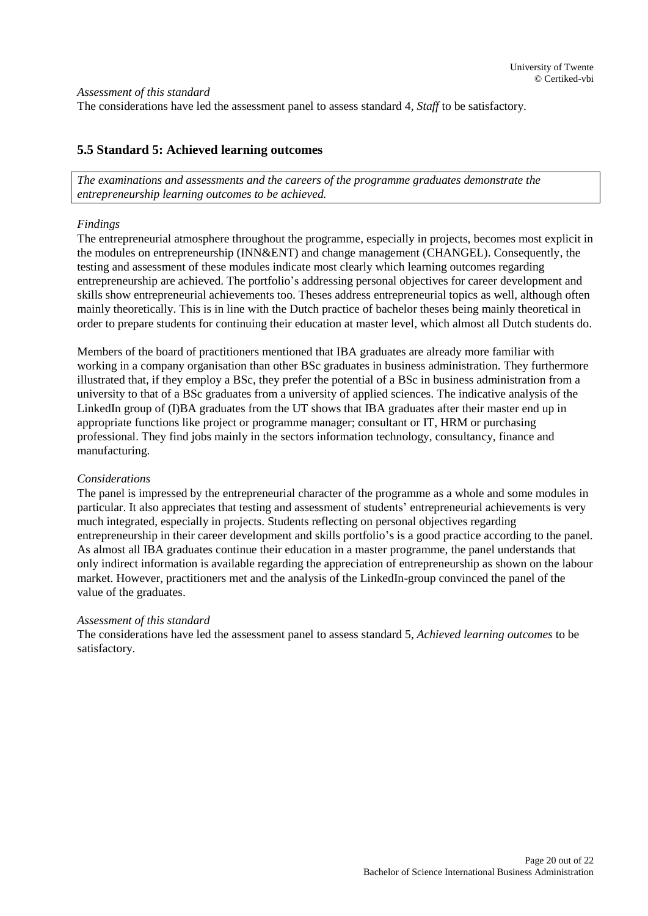*Assessment of this standard* The considerations have led the assessment panel to assess standard 4, *Staff* to be satisfactory.

#### <span id="page-19-0"></span>**5.5 Standard 5: Achieved learning outcomes**

*The examinations and assessments and the careers of the programme graduates demonstrate the entrepreneurship learning outcomes to be achieved.* 

#### *Findings*

The entrepreneurial atmosphere throughout the programme, especially in projects, becomes most explicit in the modules on entrepreneurship (INN&ENT) and change management (CHANGEL). Consequently, the testing and assessment of these modules indicate most clearly which learning outcomes regarding entrepreneurship are achieved. The portfolio's addressing personal objectives for career development and skills show entrepreneurial achievements too. Theses address entrepreneurial topics as well, although often mainly theoretically. This is in line with the Dutch practice of bachelor theses being mainly theoretical in order to prepare students for continuing their education at master level, which almost all Dutch students do.

Members of the board of practitioners mentioned that IBA graduates are already more familiar with working in a company organisation than other BSc graduates in business administration. They furthermore illustrated that, if they employ a BSc, they prefer the potential of a BSc in business administration from a university to that of a BSc graduates from a university of applied sciences. The indicative analysis of the LinkedIn group of (I)BA graduates from the UT shows that IBA graduates after their master end up in appropriate functions like project or programme manager; consultant or IT, HRM or purchasing professional. They find jobs mainly in the sectors information technology, consultancy, finance and manufacturing.

#### *Considerations*

The panel is impressed by the entrepreneurial character of the programme as a whole and some modules in particular. It also appreciates that testing and assessment of students' entrepreneurial achievements is very much integrated, especially in projects. Students reflecting on personal objectives regarding entrepreneurship in their career development and skills portfolio's is a good practice according to the panel. As almost all IBA graduates continue their education in a master programme, the panel understands that only indirect information is available regarding the appreciation of entrepreneurship as shown on the labour market. However, practitioners met and the analysis of the LinkedIn-group convinced the panel of the value of the graduates.

#### *Assessment of this standard*

The considerations have led the assessment panel to assess standard 5, *Achieved learning outcomes* to be satisfactory.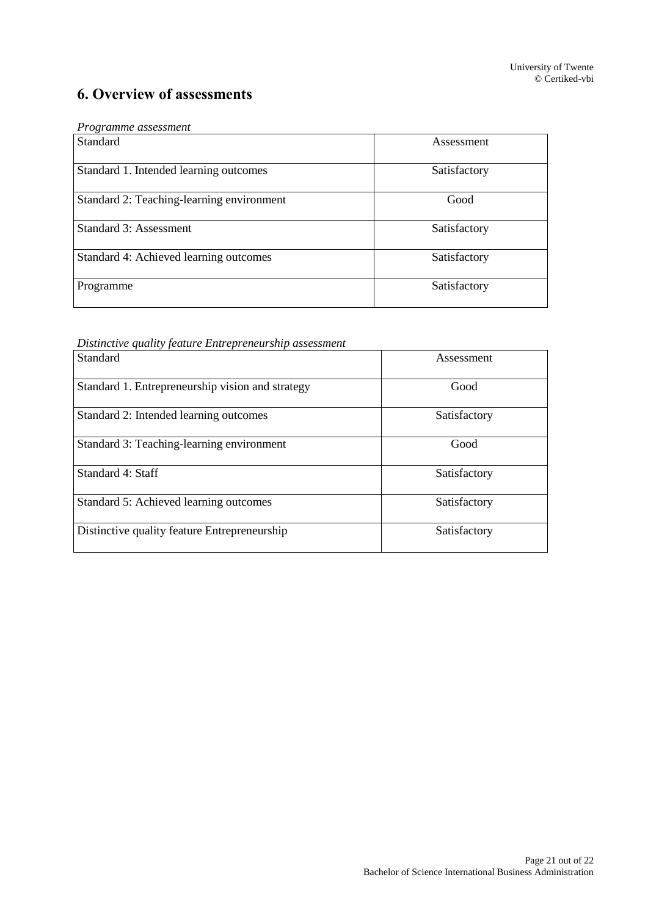## <span id="page-20-0"></span>**6. Overview of assessments**

<span id="page-20-1"></span>

| Programme assessment |  |
|----------------------|--|
|----------------------|--|

| Standard                                  | Assessment   |
|-------------------------------------------|--------------|
| Standard 1. Intended learning outcomes    | Satisfactory |
| Standard 2: Teaching-learning environment | Good         |
| Standard 3: Assessment                    | Satisfactory |
| Standard 4: Achieved learning outcomes    | Satisfactory |
| Programme                                 | Satisfactory |

*Distinctive quality feature Entrepreneurship assessment*

| Standard                                         | Assessment   |
|--------------------------------------------------|--------------|
| Standard 1. Entrepreneurship vision and strategy | Good         |
| Standard 2: Intended learning outcomes           | Satisfactory |
| Standard 3: Teaching-learning environment        | Good         |
| Standard 4: Staff                                | Satisfactory |
| Standard 5: Achieved learning outcomes           | Satisfactory |
| Distinctive quality feature Entrepreneurship     | Satisfactory |